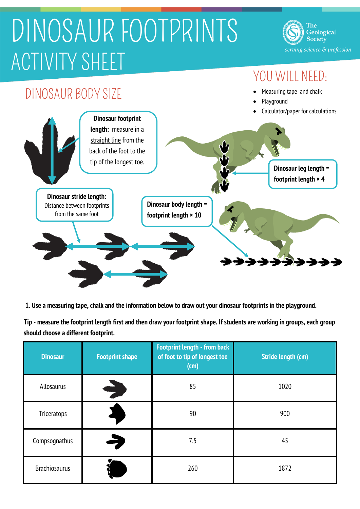## DINOSAUR FOOTPRINTS ACTIVITY SHEET

The Geological Society serving science & profession

## YOU WILL NEED:



**1. Use a measuring tape, chalk and the information below to draw out your dinosaur footprints in the playground.**

**Tip - measure the footprint length first and then draw your footprint shape. If students are working in groups, each group should choose a different footprint.**

| <b>Dinosaur</b>      | <b>Footprint shape</b> | <b>Footprint length - from back</b><br>of foot to tip of longest toe<br>(cm) | <b>Stride length (cm)</b> |
|----------------------|------------------------|------------------------------------------------------------------------------|---------------------------|
| Allosaurus           |                        | 85                                                                           | 1020                      |
| Triceratops          |                        | 90                                                                           | 900                       |
| Compsognathus        | E                      | 7.5                                                                          | 45                        |
| <b>Brachiosaurus</b> |                        | 260                                                                          | 1872                      |